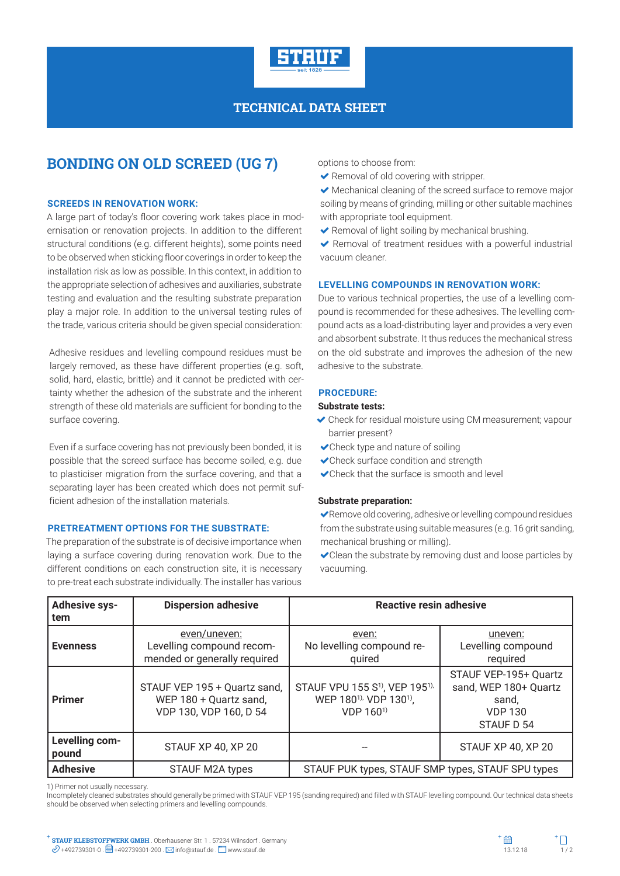

## **TECHNICAL DATA SHEET**

# **BONDING ON OLD SCREED (UG 7)**

### **SCREEDS IN RENOVATION WORK:**

A large part of today's floor covering work takes place in modernisation or renovation projects. In addition to the different structural conditions (e.g. different heights), some points need to be observed when sticking floor coverings in order to keep the installation risk as low as possible. In this context, in addition to the appropriate selection of adhesives and auxiliaries, substrate testing and evaluation and the resulting substrate preparation play a major role. In addition to the universal testing rules of the trade, various criteria should be given special consideration:

Adhesive residues and levelling compound residues must be largely removed, as these have different properties (e.g. soft, solid, hard, elastic, brittle) and it cannot be predicted with certainty whether the adhesion of the substrate and the inherent strength of these old materials are sufficient for bonding to the surface covering.

Even if a surface covering has not previously been bonded, it is possible that the screed surface has become soiled, e.g. due to plasticiser migration from the surface covering, and that a separating layer has been created which does not permit sufficient adhesion of the installation materials.

## **PRETREATMENT OPTIONS FOR THE SUBSTRATE:**

The preparation of the substrate is of decisive importance when laying a surface covering during renovation work. Due to the different conditions on each construction site, it is necessary to pre-treat each substrate individually. The installer has various options to choose from:

Removal of old covering with stripper.

 Mechanical cleaning of the screed surface to remove major soiling by means of grinding, milling or other suitable machines with appropriate tool equipment.

 $\blacktriangleright$  Removal of light soiling by mechanical brushing.

◆ Removal of treatment residues with a powerful industrial vacuum cleaner.

#### **LEVELLING COMPOUNDS IN RENOVATION WORK:**

Due to various technical properties, the use of a levelling compound is recommended for these adhesives. The levelling compound acts as a load-distributing layer and provides a very even and absorbent substrate. It thus reduces the mechanical stress on the old substrate and improves the adhesion of the new adhesive to the substrate.

### **PROCEDURE:**

#### **Substrate tests:**

- Check for residual moisture using CM measurement; vapour barrier present?
- Check type and nature of soiling
- Check surface condition and strength
- Check that the surface is smooth and level

#### **Substrate preparation:**

Remove old covering, adhesive or levelling compound residues from the substrate using suitable measures (e.g. 16 grit sanding, mechanical brushing or milling).

Clean the substrate by removing dust and loose particles by vacuuming.

| <b>Adhesive sys-</b><br>tem | <b>Dispersion adhesive</b>                                                       | Reactive resin adhesive                                                                                                           |                                                                                         |  |
|-----------------------------|----------------------------------------------------------------------------------|-----------------------------------------------------------------------------------------------------------------------------------|-----------------------------------------------------------------------------------------|--|
| <b>Evenness</b>             | even/uneven:<br>Levelling compound recom-<br>mended or generally required        | even:<br>No levelling compound re-<br>quired                                                                                      | uneven:<br>Levelling compound<br>required                                               |  |
| <b>Primer</b>               | STAUF VEP 195 + Quartz sand,<br>WEP 180 + Quartz sand,<br>VDP 130, VDP 160, D 54 | STAUF VPU 155 S <sup>1)</sup> , VEP 195 <sup>1),</sup><br>WEP 180 <sup>1),</sup> VDP 130 <sup>1</sup> ),<br>VDP 160 <sup>1)</sup> | STAUF VEP-195+ Quartz<br>sand, WEP 180+ Quartz<br>sand,<br><b>VDP 130</b><br>STAUF D 54 |  |
| Levelling com-<br>pound     | STAUF XP 40, XP 20                                                               |                                                                                                                                   | STAUF XP 40, XP 20                                                                      |  |
| <b>Adhesive</b>             | <b>STAUF M2A types</b>                                                           | STAUF PUK types, STAUF SMP types, STAUF SPU types                                                                                 |                                                                                         |  |

1) Primer not usually necessary.

Incompletely cleaned substrates should generally be primed with STAUF VEP 195 (sanding required) and filled with STAUF levelling compound. Our technical data sheets should be observed when selecting primers and levelling compounds.